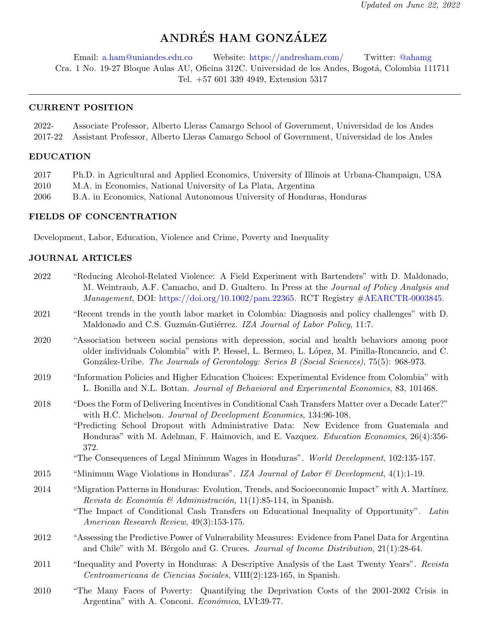# ANDRÉS HAM GONZÁLEZ

Email: [a.ham@uniandes.edu.co](mailto:a.ham@uniandes.edu.co) Website: <https://andresham.com/> Twitter: [@ahamg](https://twitter.com/ahamg) Cra. 1 No. 19-27 Bloque Aulas AU, Oficina 312C. Universidad de los Andes, Bogot´a, Colombia 111711 Tel. +57 601 339 4949, Extension 5317

#### CURRENT POSITION

| 2022- | Associate Professor, Alberto Lleras Camargo School of Government, Universidad de los Andes         |  |  |  |
|-------|----------------------------------------------------------------------------------------------------|--|--|--|
|       | 2017-22 Assistant Professor, Alberto Lleras Camargo School of Government, Universidad de los Andes |  |  |  |

#### EDUCATION

- 2017 Ph.D. in Agricultural and Applied Economics, University of Illinois at Urbana-Champaign, USA
- 2010 M.A. in Economics, National University of La Plata, Argentina
- 2006 B.A. in Economics, National Autonomous University of Honduras, Honduras

# FIELDS OF CONCENTRATION

Development, Labor, Education, Violence and Crime, Poverty and Inequality

#### JOURNAL ARTICLES

- 2022 "Reducing Alcohol-Related Violence: A Field Experiment with Bartenders" with D. Maldonado, M. Weintraub, A.F. Camacho, and D. Gualtero. In Press at the Journal of Policy Analysis and  $Management, DOI: <https://doi.org/10.1002/pam.22365>. RCT Registery #AEARCTR-0003845.$  $Management, DOI: <https://doi.org/10.1002/pam.22365>. RCT Registery #AEARCTR-0003845.$
- 2021 "Recent trends in the youth labor market in Colombia: Diagnosis and policy challenges" with D. Maldonado and C.S. Guzmán-Gutiérrez. IZA Journal of Labor Policy, 11:7.
- 2020 "Association between social pensions with depression, social and health behaviors among poor older individuals Colombia" with P. Hessel, L. Bermeo, L. L´opez, M. Pinilla-Roncancio, and C. González-Uribe. The Journals of Gerontology: Series B (Social Sciences), 75(5): 968-973.
- 2019 "Information Policies and Higher Education Choices: Experimental Evidence from Colombia" with L. Bonilla and N.L. Bottan. *Journal of Behavioral and Experimental Economics*, 83, 101468.
- 2018 "Does the Form of Delivering Incentives in Conditional Cash Transfers Matter over a Decade Later?" with H.C. Michelson. *Journal of Development Economics*, 134:96-108.

"Predicting School Dropout with Administrative Data: New Evidence from Guatemala and Honduras" with M. Adelman, F. Haimovich, and E. Vazquez. Education Economics, 26(4):356- 372.

"The Consequences of Legal Minimum Wages in Honduras". World Development, 102:135-157.

- 2015 "Minimum Wage Violations in Honduras". IZA Journal of Labor & Development,  $4(1)$ :1-19.
- 2014 "Migration Patterns in Honduras: Evolution, Trends, and Socioeconomic Impact" with A. Martínez. Revista de Economía & Administración, 11(1):85-114, in Spanish.
	- "The Impact of Conditional Cash Transfers on Educational Inequality of Opportunity". Latin American Research Review, 49(3):153-175.
- 2012 "Assessing the Predictive Power of Vulnerability Measures: Evidence from Panel Data for Argentina and Chile" with M. Bérgolo and G. Cruces. Journal of Income Distribution,  $21(1):28-64$ .
- 2011 "Inequality and Poverty in Honduras: A Descriptive Analysis of the Last Twenty Years". Revista Centroamericana de Ciencias Sociales, VIII(2):123-165, in Spanish.
- 2010 "The Many Faces of Poverty: Quantifying the Deprivation Costs of the 2001-2002 Crisis in Argentina" with A. Conconi. Económica, LVI:39-77.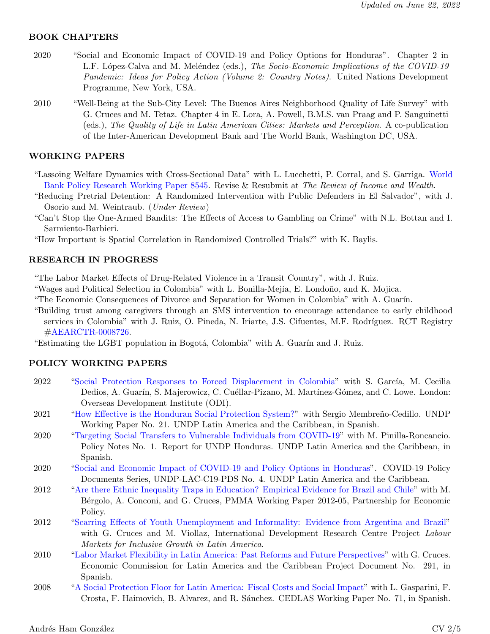# BOOK CHAPTERS

- 2020 "Social and Economic Impact of COVID-19 and Policy Options for Honduras". Chapter 2 in L.F. López-Calva and M. Meléndez (eds.), The Socio-Economic Implications of the COVID-19 Pandemic: Ideas for Policy Action (Volume 2: Country Notes). United Nations Development Programme, New York, USA.
- 2010 "Well-Being at the Sub-City Level: The Buenos Aires Neighborhood Quality of Life Survey" with G. Cruces and M. Tetaz. Chapter 4 in E. Lora, A. Powell, B.M.S. van Praag and P. Sanguinetti (eds.), The Quality of Life in Latin American Cities: Markets and Perception. A co-publication of the Inter-American Development Bank and The World Bank, Washington DC, USA.

### WORKING PAPERS

- "Lassoing Welfare Dynamics with Cross-Sectional Data" with L. Lucchetti, P. Corral, and S. Garriga. [World](http://documents1.worldbank.org/curated/en/949841533741579213/pdf/Lassoing-Welfare-Dynamics-with-Cross-Sectional-Data.pdf) [Bank Policy Research Working Paper 8545.](http://documents1.worldbank.org/curated/en/949841533741579213/pdf/Lassoing-Welfare-Dynamics-with-Cross-Sectional-Data.pdf) Revise & Resubmit at The Review of Income and Wealth.
- "Reducing Pretrial Detention: A Randomized Intervention with Public Defenders in El Salvador", with J. Osorio and M. Weintraub. (Under Review)
- "Can't Stop the One-Armed Bandits: The Effects of Access to Gambling on Crime" with N.L. Bottan and I. Sarmiento-Barbieri.

"How Important is Spatial Correlation in Randomized Controlled Trials?" with K. Baylis.

#### RESEARCH IN PROGRESS

"The Labor Market Effects of Drug-Related Violence in a Transit Country", with J. Ruiz.

- "Wages and Political Selection in Colombia" with L. Bonilla-Mejía, E. Londoño, and K. Mojica.
- "The Economic Consequences of Divorce and Separation for Women in Colombia" with A. Guarín.
- "Building trust among caregivers through an SMS intervention to encourage attendance to early childhood services in Colombia" with J. Ruiz, O. Pineda, N. Iriarte, J.S. Cifuentes, M.F. Rodríguez. RCT Registry [#AEARCTR-0008726.](https://www.socialscienceregistry.org/trials/8726)

"Estimating the LGBT population in Bogotá, Colombia" with A. Guarín and J. Ruiz.

#### POLICY WORKING PAPERS

- 2022 ["Social Protection Responses to Forced Displacement in Colombia"](https://gobierno.uniandes.edu.co/es/investigaciones/proyectos-de-investigacion/poblaciones-desplazadas-e-integracion-de-la-proteccion-social) with S. García, M. Cecilia Dedios, A. Guarín, S. Majerowicz, C. Cuéllar-Pizano, M. Martínez-Gómez, and C. Lowe. London: Overseas Development Institute (ODI).
- 2021 ["How Effective is the Honduran Social Protection System?"](https://www.latinamerica.undp.org/content/rblac/es/home/library/human_development/-cuan-efectiva-es-la-proteccion-social-en-honduras-.html) with Sergio Membreño-Cedillo. UNDP Working Paper No. 21. UNDP Latin America and the Caribbean, in Spanish.
- 2020 ["Targeting Social Transfers to Vulnerable Individuals from COVID-19"](https://www.latinamerica.undp.org/content/rblac/es/home/library/crisis_prevention_and_recovery/focalizacion-de-transferencias-a-poblacion-vulnerable-por-el-cov.html) with M. Pinilla-Roncancio. Policy Notes No. 1. Report for UNDP Honduras. UNDP Latin America and the Caribbean, in Spanish.
- 2020 ["Social and Economic Impact of COVID-19 and Policy Options in Honduras"](https://www.latinamerica.undp.org/content/rblac/en/home/library/crisis_prevention_and_recovery/social-and-economic-impact-of-the-covid-19-and-policy-options-in.html). COVID-19 Policy Documents Series, UNDP-LAC-C19-PDS No. 4. UNDP Latin America and the Caribbean.
- 2012 ["Are there Ethnic Inequality Traps in Education? Empirical Evidence for Brazil and Chile"](https://papers.ssrn.com/sol3/papers.cfm?abstract_id=2367377) with M. Bérgolo, A. Conconi, and G. Cruces, PMMA Working Paper 2012-05, Partnership for Economic Policy.
- 2012 ["Scarring Effects of Youth Unemployment and Informality: Evidence from Argentina and Brazil"](https://idl-bnc-idrc.dspacedirect.org/handle/10625/48802) with G. Cruces and M. Viollaz, International Development Research Centre Project Labour Markets for Inclusive Growth in Latin America.
- 2010 ["Labor Market Flexibility in Latin America: Past Reforms and Future Perspectives"](https://repositorio.cepal.org/handle/11362/3771) with G. Cruces. Economic Commission for Latin America and the Caribbean Project Document No. 291, in Spanish.
- 2008 ["A Social Protection Floor for Latin America: Fiscal Costs and Social Impact"](https://www.cedlas.econo.unlp.edu.ar/wp/en/doc-cedlas71-pdf/) with L. Gasparini, F. Crosta, F. Haimovich, B. Alvarez, and R. Sánchez. CEDLAS Working Paper No. 71, in Spanish.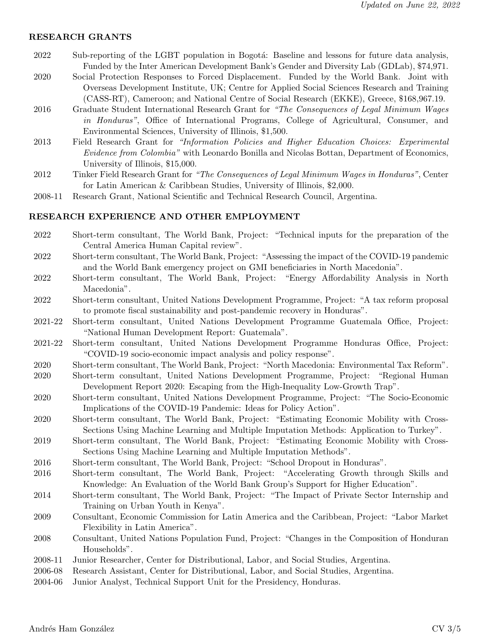#### RESEARCH GRANTS

- 2022 Sub-reporting of the LGBT population in Bogotá: Baseline and lessons for future data analysis, Funded by the Inter American Development Bank's Gender and Diversity Lab (GDLab), \$74,971.
- 2020 Social Protection Responses to Forced Displacement. Funded by the World Bank. Joint with Overseas Development Institute, UK; Centre for Applied Social Sciences Research and Training (CASS-RT), Cameroon; and National Centre of Social Research (EKKE), Greece, \$168,967.19.
- 2016 Graduate Student International Research Grant for "The Consequences of Legal Minimum Wages in Honduras", Office of International Programs, College of Agricultural, Consumer, and Environmental Sciences, University of Illinois, \$1,500.
- 2013 Field Research Grant for "Information Policies and Higher Education Choices: Experimental Evidence from Colombia" with Leonardo Bonilla and Nicolas Bottan, Department of Economics, University of Illinois, \$15,000.
- 2012 Tinker Field Research Grant for "The Consequences of Legal Minimum Wages in Honduras", Center for Latin American & Caribbean Studies, University of Illinois, \$2,000.
- 2008-11 Research Grant, National Scientific and Technical Research Council, Argentina.

#### RESEARCH EXPERIENCE AND OTHER EMPLOYMENT

- 2022 Short-term consultant, The World Bank, Project: "Technical inputs for the preparation of the Central America Human Capital review".
- 2022 Short-term consultant, The World Bank, Project: "Assessing the impact of the COVID-19 pandemic and the World Bank emergency project on GMI beneficiaries in North Macedonia".
- 2022 Short-term consultant, The World Bank, Project: "Energy Affordability Analysis in North Macedonia".
- 2022 Short-term consultant, United Nations Development Programme, Project: "A tax reform proposal to promote fiscal sustainability and post-pandemic recovery in Honduras".
- 2021-22 Short-term consultant, United Nations Development Programme Guatemala Office, Project: "National Human Development Report: Guatemala".
- 2021-22 Short-term consultant, United Nations Development Programme Honduras Office, Project: "COVID-19 socio-economic impact analysis and policy response".
- 2020 Short-term consultant, The World Bank, Project: "North Macedonia: Environmental Tax Reform".
- 2020 Short-term consultant, United Nations Development Programme, Project: "Regional Human Development Report 2020: Escaping from the High-Inequality Low-Growth Trap".
- 2020 Short-term consultant, United Nations Development Programme, Project: "The Socio-Economic Implications of the COVID-19 Pandemic: Ideas for Policy Action".
- 2020 Short-term consultant, The World Bank, Project: "Estimating Economic Mobility with Cross-Sections Using Machine Learning and Multiple Imputation Methods: Application to Turkey".
- 2019 Short-term consultant, The World Bank, Project: "Estimating Economic Mobility with Cross-Sections Using Machine Learning and Multiple Imputation Methods".
- 2016 Short-term consultant, The World Bank, Project: "School Dropout in Honduras".
- 2016 Short-term consultant, The World Bank, Project: "Accelerating Growth through Skills and Knowledge: An Evaluation of the World Bank Group's Support for Higher Education".
- 2014 Short-term consultant, The World Bank, Project: "The Impact of Private Sector Internship and Training on Urban Youth in Kenya".
- 2009 Consultant, Economic Commission for Latin America and the Caribbean, Project: "Labor Market Flexibility in Latin America".
- 2008 Consultant, United Nations Population Fund, Project: "Changes in the Composition of Honduran Households".
- 2008-11 Junior Researcher, Center for Distributional, Labor, and Social Studies, Argentina.
- 2006-08 Research Assistant, Center for Distributional, Labor, and Social Studies, Argentina.
- 2004-06 Junior Analyst, Technical Support Unit for the Presidency, Honduras.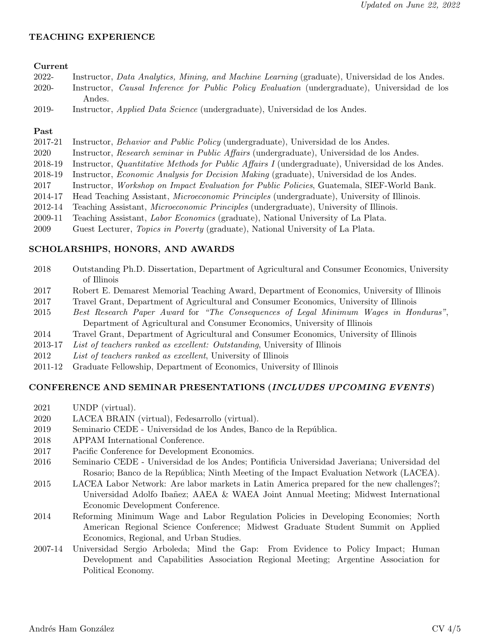# TEACHING EXPERIENCE

#### Current

| 2022-  |        |  |  |  | Instructor, Data Analytics, Mining, and Machine Learning (graduate), Universidad de los Andes.       |  |
|--------|--------|--|--|--|------------------------------------------------------------------------------------------------------|--|
| -2020- |        |  |  |  | Instructor, <i>Causal Inference for Public Policy Evaluation</i> (undergraduate), Universidad de los |  |
|        | Andes. |  |  |  |                                                                                                      |  |

2019- Instructor, Applied Data Science (undergraduate), Universidad de los Andes.

## Past

- 2017-21 Instructor, Behavior and Public Policy (undergraduate), Universidad de los Andes.
- 2020 Instructor, Research seminar in Public Affairs (undergraduate), Universidad de los Andes.
- 2018-19 Instructor, Quantitative Methods for Public Affairs I (undergraduate), Universidad de los Andes.
- 2018-19 Instructor, Economic Analysis for Decision Making (graduate), Universidad de los Andes.
- 2017 Instructor, Workshop on Impact Evaluation for Public Policies, Guatemala, SIEF-World Bank.
- 2014-17 Head Teaching Assistant, Microeconomic Principles (undergraduate), University of Illinois.
- 2012-14 Teaching Assistant, Microeconomic Principles (undergraduate), University of Illinois.
- 2009-11 Teaching Assistant, Labor Economics (graduate), National University of La Plata.
- 2009 Guest Lecturer, Topics in Poverty (graduate), National University of La Plata.

# SCHOLARSHIPS, HONORS, AND AWARDS

- 2018 Outstanding Ph.D. Dissertation, Department of Agricultural and Consumer Economics, University of Illinois
- 2017 Robert E. Demarest Memorial Teaching Award, Department of Economics, University of Illinois
- 2017 Travel Grant, Department of Agricultural and Consumer Economics, University of Illinois
- 2015 Best Research Paper Award for "The Consequences of Legal Minimum Wages in Honduras", Department of Agricultural and Consumer Economics, University of Illinois
- 2014 Travel Grant, Department of Agricultural and Consumer Economics, University of Illinois
- 2013-17 List of teachers ranked as excellent: Outstanding, University of Illinois
- 2012 List of teachers ranked as excellent, University of Illinois
- 2011-12 Graduate Fellowship, Department of Economics, University of Illinois

## CONFERENCE AND SEMINAR PRESENTATIONS (INCLUDES UPCOMING EVENTS)

- 2021 UNDP (virtual).
- 2020 LACEA BRAIN (virtual), Fedesarrollo (virtual).
- 2019 Seminario CEDE Universidad de los Andes, Banco de la República.
- 2018 APPAM International Conference.
- 2017 Pacific Conference for Development Economics.
- 2016 Seminario CEDE Universidad de los Andes; Pontificia Universidad Javeriana; Universidad del Rosario; Banco de la República; Ninth Meeting of the Impact Evaluation Network (LACEA).
- 2015 LACEA Labor Network: Are labor markets in Latin America prepared for the new challenges?; Universidad Adolfo Ibañez; AAEA & WAEA Joint Annual Meeting; Midwest International Economic Development Conference.
- 2014 Reforming Minimum Wage and Labor Regulation Policies in Developing Economies; North American Regional Science Conference; Midwest Graduate Student Summit on Applied Economics, Regional, and Urban Studies.
- 2007-14 Universidad Sergio Arboleda; Mind the Gap: From Evidence to Policy Impact; Human Development and Capabilities Association Regional Meeting; Argentine Association for Political Economy.